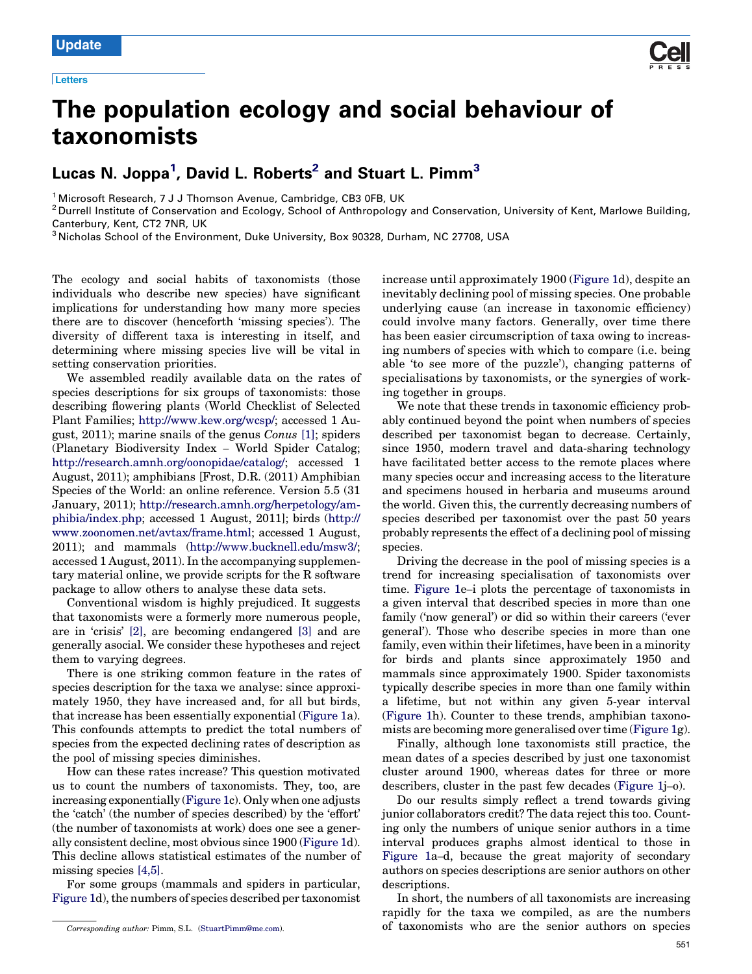

# The population ecology and social behaviour of taxonomists

# Lucas N. Joppa<sup>1</sup>, David L. Roberts<sup>2</sup> and Stuart L. Pimm $^3$

<sup>1</sup> Microsoft Research, 7 J J Thomson Avenue, Cambridge, CB3 0FB, UK<br><sup>2</sup> Durrell Institute of Conservation and Ecology, School of Anthropology and Conservation, University of Kent, Marlowe Building, Canterbury, Kent, CT2 7NR, UK<br><sup>3</sup> Nicholas School of the Environment, Duke University, Box 90328, Durham, NC 27708, USA

The ecology and social habits of taxonomists (those individuals who describe new species) have significant implications for understanding how many more species there are to discover (henceforth 'missing species'). The diversity of different taxa is interesting in itself, and determining where missing species live will be vital in setting conservation priorities.

We assembled readily available data on the rates of species descriptions for six groups of taxonomists: those describing flowering plants (World Checklist of Selected Plant Families; [http://www.kew.org/wcsp/;](http://www.kew.org/wcsp/) accessed 1 August, 2011); marine snails of the genus Conus [\[1\];](#page-2-0) spiders (Planetary Biodiversity Index – World Spider Catalog; <http://research.amnh.org/oonopidae/catalog/>; accessed 1 August, 2011); amphibians [Frost, D.R. (2011) Amphibian Species of the World: an online reference. Version 5.5 (31 January, 2011); [http://research.amnh.org/herpetology/am](http://research.amnh.org/herpetology/amphibia/index.php)[phibia/index.php;](http://research.amnh.org/herpetology/amphibia/index.php) accessed 1 August, 2011]; birds [\(http://](http://www.zoonomen.net/avtax/frame.html) [www.zoonomen.net/avtax/frame.html;](http://www.zoonomen.net/avtax/frame.html) accessed 1 August, 2011); and mammals (<http://www.bucknell.edu/msw3/>; accessed 1 August, 2011). In the accompanying supplementary material online, we provide scripts for the R software package to allow others to analyse these data sets.

Conventional wisdom is highly prejudiced. It suggests that taxonomists were a formerly more numerous people, are in 'crisis' [\[2\],](#page-2-0) are becoming endangered [\[3\]](#page-2-0) and are generally asocial. We consider these hypotheses and reject them to varying degrees.

There is one striking common feature in the rates of species description for the taxa we analyse: since approximately 1950, they have increased and, for all but birds, that increase has been essentially exponential [\(Figure](#page-1-0) 1a). This confounds attempts to predict the total numbers of species from the expected declining rates of description as the pool of missing species diminishes.

How can these rates increase? This question motivated us to count the numbers of taxonomists. They, too, are increasing exponentially [\(Figure](#page-1-0) 1c). Only when one adjusts the 'catch' (the number of species described) by the 'effort' (the number of taxonomists at work) does one see a generally consistent decline, most obvious since 1900 [\(Figure](#page-1-0) 1d). This decline allows statistical estimates of the number of missing species [4,5].

For some groups (mammals and spiders in particular, [Figure](#page-1-0) 1d), the numbers of species described per taxonomist increase until approximately 1900 ([Figure](#page-1-0) 1d), despite an inevitably declining pool of missing species. One probable underlying cause (an increase in taxonomic efficiency) could involve many factors. Generally, over time there has been easier circumscription of taxa owing to increasing numbers of species with which to compare (i.e. being able 'to see more of the puzzle'), changing patterns of specialisations by taxonomists, or the synergies of working together in groups.

We note that these trends in taxonomic efficiency probably continued beyond the point when numbers of species described per taxonomist began to decrease. Certainly, since 1950, modern travel and data-sharing technology have facilitated better access to the remote places where many species occur and increasing access to the literature and specimens housed in herbaria and museums around the world. Given this, the currently decreasing numbers of species described per taxonomist over the past 50 years probably represents the effect of a declining pool of missing species.

Driving the decrease in the pool of missing species is a trend for increasing specialisation of taxonomists over time. [Figure](#page-1-0) 1e–i plots the percentage of taxonomists in a given interval that described species in more than one family ('now general') or did so within their careers ('ever general'). Those who describe species in more than one family, even within their lifetimes, have been in a minority for birds and plants since approximately 1950 and mammals since approximately 1900. Spider taxonomists typically describe species in more than one family within a lifetime, but not within any given 5-year interval ([Figure](#page-1-0) 1h). Counter to these trends, amphibian taxonomists are becoming more generalised over time [\(Figure](#page-1-0) 1g).

Finally, although lone taxonomists still practice, the mean dates of a species described by just one taxonomist cluster around 1900, whereas dates for three or more describers, cluster in the past few decades [\(Figure](#page-1-0) 1j–o).

Do our results simply reflect a trend towards giving junior collaborators credit? The data reject this too. Counting only the numbers of unique senior authors in a time interval produces graphs almost identical to those in [Figure](#page-1-0) 1a–d, because the great majority of secondary authors on species descriptions are senior authors on other descriptions.

In short, the numbers of all taxonomists are increasing rapidly for the taxa we compiled, as are the numbers of taxonomists who are the senior authors on species

Corresponding author: Pimm, S.L. ([StuartPimm@me.com\)](mailto:StuartPimm@me.com).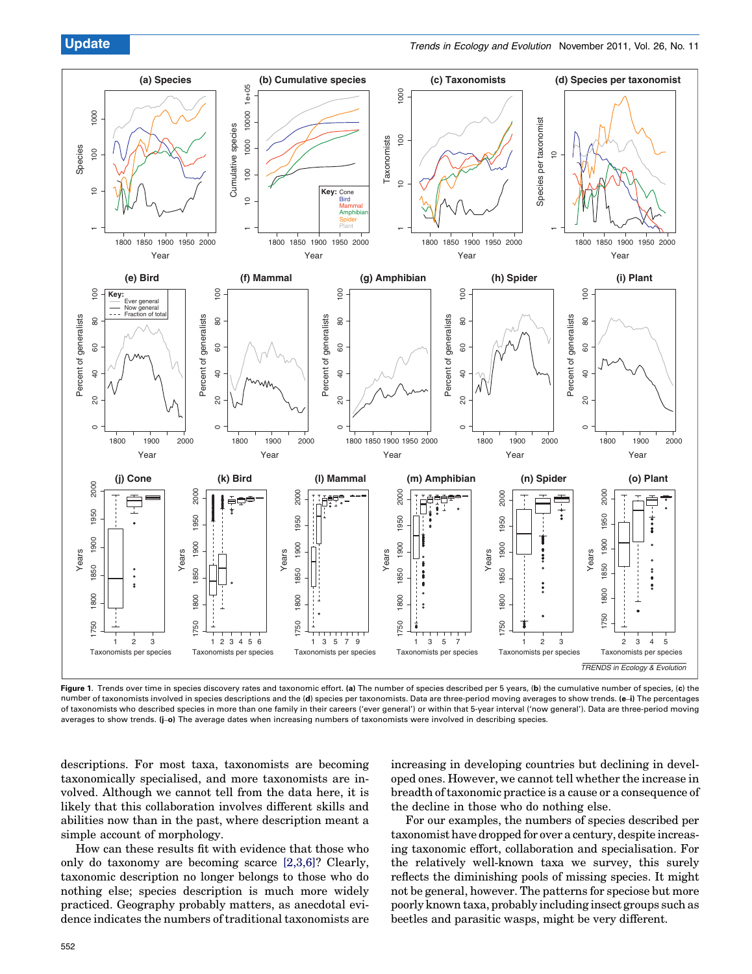<span id="page-1-0"></span>

Figure 1. Trends over time in species discovery rates and taxonomic effort. (a) The number of species described per 5 years, (b) the cumulative number of species, (c) the number of taxonomists involved in species descriptions and the (d) species per taxonomists. Data are three-period moving averages to show trends. (e-i) The percentages of taxonomists who described species in more than one family in their careers ('ever general') or within that 5-year interval ('now general'). Data are three-period moving averages to show trends. (j–o) The average dates when increasing numbers of taxonomists were involved in describing species.

descriptions. For most taxa, taxonomists are becoming taxonomically specialised, and more taxonomists are involved. Although we cannot tell from the data here, it is likely that this collaboration involves different skills and abilities now than in the past, where description meant a simple account of morphology.

How can these results fit with evidence that those who only do taxonomy are becoming scarce [2,3,6]? Clearly, taxonomic description no longer belongs to those who do nothing else; species description is much more widely practiced. Geography probably matters, as anecdotal evidence indicates the numbers of traditional taxonomists are increasing in developing countries but declining in developed ones. However, we cannot tell whether the increase in breadth oftaxonomic practice is a cause or a consequence of the decline in those who do nothing else.

For our examples, the numbers of species described per taxonomist have dropped for over a century, despite increasing taxonomic effort, collaboration and specialisation. For the relatively well-known taxa we survey, this surely reflects the diminishing pools of missing species. It might not be general, however. The patterns for speciose but more poorly known taxa, probably including insect groups such as beetles and parasitic wasps, might be very different.